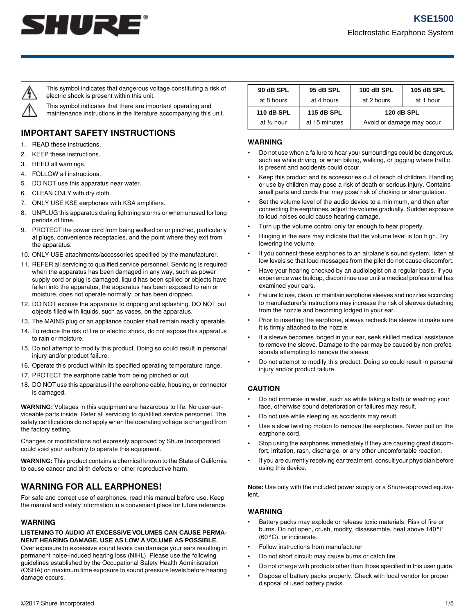



This symbol indicates that dangerous voltage constituting a risk of electric shock is present within this unit.

This symbol indicates that there are important operating and maintenance instructions in the literature accompanying this unit.

# **IMPORTANT SAFETY INSTRUCTIONS**

- 1. READ these instructions.
- 2. KEEP these instructions.
- 3. HEED all warnings.
- 4. FOLLOW all instructions.
- 5. DO NOT use this apparatus near water.
- 6. CLEAN ONLY with dry cloth.
- 7. ONLY USE KSE earphones with KSA amplifiers.
- 8. UNPLUG this apparatus during lightning storms or when unused for long periods of time.
- 9. PROTECT the power cord from being walked on or pinched, particularly at plugs, convenience receptacles, and the point where they exit from the apparatus.
- 10. ONLY USE attachments/accessories specified by the manufacturer.
- 11. REFER all servicing to qualified service personnel. Servicing is required when the apparatus has been damaged in any way, such as power supply cord or plug is damaged, liquid has been spilled or objects have fallen into the apparatus, the apparatus has been exposed to rain or moisture, does not operate normally, or has been dropped.
- 12. DO NOT expose the apparatus to dripping and splashing. DO NOT put objects filled with liquids, such as vases, on the apparatus.
- 13. The MAINS plug or an appliance coupler shall remain readily operable.
- 14. To reduce the risk of fire or electric shock, do not expose this apparatus to rain or moisture.
- 15. Do not attempt to modify this product. Doing so could result in personal injury and/or product failure.
- 16. Operate this product within its specified operating temperature range.
- 17. PROTECT the earphone cable from being pinched or cut.
- 18. DO NOT use this apparatus if the earphone cable, housing, or connector is damaged.

**WARNING:** Voltages in this equipment are hazardous to life. No user-serviceable parts inside. Refer all servicing to qualified service personnel. The safety certifications do not apply when the operating voltage is changed from the factory setting.

Changes or modifications not expressly approved by Shure Incorporated could void your authority to operate this equipment.

**WARNING:** This product contains a chemical known to the State of California to cause cancer and birth defects or other reproductive harm.

## **WARNING FOR ALL EARPHONES!**

For safe and correct use of earphones, read this manual before use. Keep the manual and safety information in a convenient place for future reference.

#### **WARNING**

#### **LISTENING TO AUDIO AT EXCESSIVE VOLUMES CAN CAUSE PERMA-NENT HEARING DAMAGE. USE AS LOW A VOLUME AS POSSIBLE.**

Over exposure to excessive sound levels can damage your ears resulting in permanent noise-induced hearing loss (NIHL). Please use the following guidelines established by the Occupational Safety Health Administration (OSHA) on maximum time exposure to sound pressure levels before hearing damage occurs.

| 90 dB SPL             | 95 dB SPL     | 100 dB SPL                | <b>105 dB SPL</b> |
|-----------------------|---------------|---------------------------|-------------------|
| at 8 hours            | at 4 hours    | at 2 hours                | at 1 hour         |
| <b>110 dB SPL</b>     | 115 dB SPL    | <b>120 dB SPL</b>         |                   |
| at $\frac{1}{2}$ hour | at 15 minutes | Avoid or damage may occur |                   |

#### **WARNING**

- Do not use when a failure to hear your surroundings could be dangerous, such as while driving, or when biking, walking, or jogging where traffic is present and accidents could occur.
- Keep this product and its accessories out of reach of children. Handling or use by children may pose a risk of death or serious injury. Contains small parts and cords that may pose risk of choking or strangulation.
- Set the volume level of the audio device to a minimum, and then after connecting the earphones, adjust the volume gradually. Sudden exposure to loud noises could cause hearing damage.
- Turn up the volume control only far enough to hear properly.
- Ringing in the ears may indicate that the volume level is too high. Try lowering the volume.
- If you connect these earphones to an airplane's sound system, listen at low levels so that loud messages from the pilot do not cause discomfort.
- Have your hearing checked by an audiologist on a regular basis. If you experience wax buildup, discontinue use until a medical professional has examined your ears.
- Failure to use, clean, or maintain earphone sleeves and nozzles according to manufacturer's instructions may increase the risk of sleeves detaching from the nozzle and becoming lodged in your ear.
- Prior to inserting the earphone, always recheck the sleeve to make sure it is firmly attached to the nozzle.
- If a sleeve becomes lodged in your ear, seek skilled medical assistance to remove the sleeve. Damage to the ear may be caused by non-professionals attempting to remove the sleeve.
- Do not attempt to modify this product. Doing so could result in personal injury and/or product failure.

#### **CAUTION**

- Do not immerse in water, such as while taking a bath or washing your face, otherwise sound deterioration or failures may result.
- Do not use while sleeping as accidents may result.
- Use a slow twisting motion to remove the earphones. Never pull on the earphone cord.
- Stop using the earphones immediately if they are causing great discomfort, irritation, rash, discharge, or any other uncomfortable reaction.
- If you are currently receiving ear treatment, consult your physician before using this device.

**Note:** Use only with the included power supply or a Shure-approved equivalent.

#### **WARNING**

- Battery packs may explode or release toxic materials. Risk of fire or burns. Do not open, crush, modify, disassemble, heat above 140°F (60°C), or incinerate.
- Follow instructions from manufacturer
- Do not short circuit; may cause burns or catch fire
- Do not charge with products other than those specified in this user guide.
- Dispose of battery packs properly. Check with local vendor for proper disposal of used battery packs.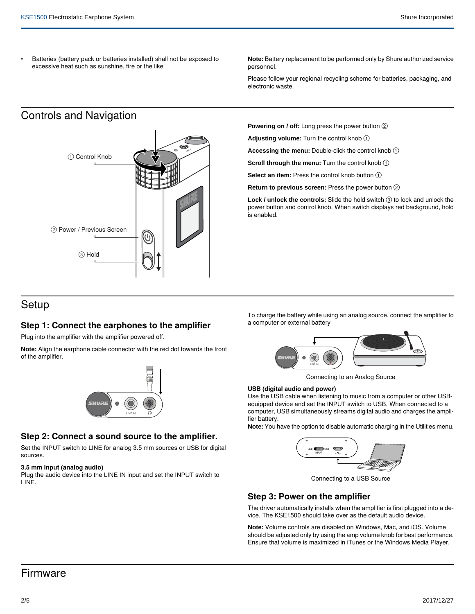• Batteries (battery pack or batteries installed) shall not be exposed to excessive heat such as sunshine, fire or the like

**Note:** Battery replacement to be performed only by Shure authorized service personnel.

Please follow your regional recycling scheme for batteries, packaging, and electronic waste.

# Controls and Navigation



**Powering on / off:** Long press the power button ②

**Adjusting volume:** Turn the control knob ①

**Accessing the menu:** Double-click the control knob ①

**Scroll through the menu:** Turn the control knob  $(1)$ 

**Select an item:** Press the control knob button ①

**Return to previous screen:** Press the power button ②

**Lock / unlock the controls:** Slide the hold switch ③ to lock and unlock the power button and control knob. When switch displays red background, hold is enabled.

## Setup

## **Step 1: Connect the earphones to the amplifier**

Plug into the amplifier with the amplifier powered off.

**Note:** Align the earphone cable connector with the red dot towards the front of the amplifier.



## **Step 2: Connect a sound source to the amplifier.**

Set the INPUT switch to LINE for analog 3.5 mm sources or USB for digital sources.

#### **3.5 mm input (analog audio)**

Plug the audio device into the LINE IN input and set the INPUT switch to LINE.

To charge the battery while using an analog source, connect the amplifier to a computer or external battery



Connecting to an Analog Source

#### **USB (digital audio and power)**

Use the USB cable when listening to music from a computer or other USBequipped device and set the INPUT switch to USB. When connected to a computer, USB simultaneously streams digital audio and charges the amplifier battery.

**Note:** You have the option to disable automatic charging in the Utilities menu.



Connecting to a USB Source

## **Step 3: Power on the amplifier**

The driver automatically installs when the amplifier is first plugged into a device. The KSE1500 should take over as the default audio device.

**Note:** Volume controls are disabled on Windows, Mac, and iOS. Volume should be adjusted only by using the amp volume knob for best performance. Ensure that volume is maximized in iTunes or the Windows Media Player.

## Firmware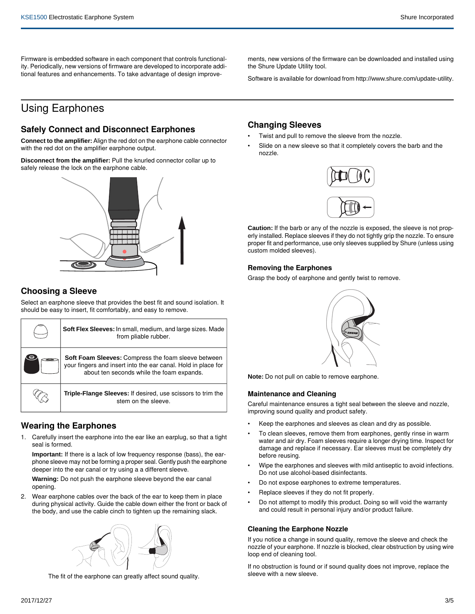Firmware is embedded software in each component that controls functionality. Periodically, new versions of firmware are developed to incorporate additional features and enhancements. To take advantage of design improve-

ments, new versions of the firmware can be downloaded and installed using the Shure Update Utility tool.

Software is available for download from http://www.shure.com/update-utility.

# Using Earphones

## **Safely Connect and Disconnect Earphones**

**Connect to the amplifier:** Align the red dot on the earphone cable connector with the red dot on the amplifier earphone output.

**Disconnect from the amplifier:** Pull the knurled connector collar up to safely release the lock on the earphone cable.

## **Choosing a Sleeve**

Select an earphone sleeve that provides the best fit and sound isolation. It should be easy to insert, fit comfortably, and easy to remove.

| Soft Flex Sleeves: In small, medium, and large sizes. Made<br>from pliable rubber.                                                                                       |
|--------------------------------------------------------------------------------------------------------------------------------------------------------------------------|
| <b>Soft Foam Sleeves:</b> Compress the foam sleeve between<br>your fingers and insert into the ear canal. Hold in place for<br>about ten seconds while the foam expands. |
| Triple-Flange Sleeves: If desired, use scissors to trim the<br>stem on the sleeve.                                                                                       |

## **Wearing the Earphones**

1. Carefully insert the earphone into the ear like an earplug, so that a tight seal is formed.

**Important:** If there is a lack of low frequency response (bass), the earphone sleeve may not be forming a proper seal. Gently push the earphone deeper into the ear canal or try using a a different sleeve.

**Warning:** Do not push the earphone sleeve beyond the ear canal opening.

2. Wear earphone cables over the back of the ear to keep them in place during physical activity. Guide the cable down either the front or back of the body, and use the cable cinch to tighten up the remaining slack.



The fit of the earphone can greatly affect sound quality.

## **Changing Sleeves**

- Twist and pull to remove the sleeve from the nozzle.
- Slide on a new sleeve so that it completely covers the barb and the nozzle.



**Caution:** If the barb or any of the nozzle is exposed, the sleeve is not properly installed. Replace sleeves if they do not tightly grip the nozzle. To ensure proper fit and performance, use only sleeves supplied by Shure (unless using custom molded sleeves).

#### **Removing the Earphones**

Grasp the body of earphone and gently twist to remove.



**Note:** Do not pull on cable to remove earphone.

#### **Maintenance and Cleaning**

Careful maintenance ensures a tight seal between the sleeve and nozzle, improving sound quality and product safety.

- Keep the earphones and sleeves as clean and dry as possible.
- To clean sleeves, remove them from earphones, gently rinse in warm water and air dry. Foam sleeves require a longer drying time. Inspect for damage and replace if necessary. Ear sleeves must be completely dry before reusing.
- Wipe the earphones and sleeves with mild antiseptic to avoid infections. Do not use alcohol-based disinfectants.
- Do not expose earphones to extreme temperatures.
- Replace sleeves if they do not fit properly.
- Do not attempt to modify this product. Doing so will void the warranty and could result in personal injury and/or product failure.

#### **Cleaning the Earphone Nozzle**

If you notice a change in sound quality, remove the sleeve and check the nozzle of your earphone. If nozzle is blocked, clear obstruction by using wire loop end of cleaning tool.

If no obstruction is found or if sound quality does not improve, replace the sleeve with a new sleeve.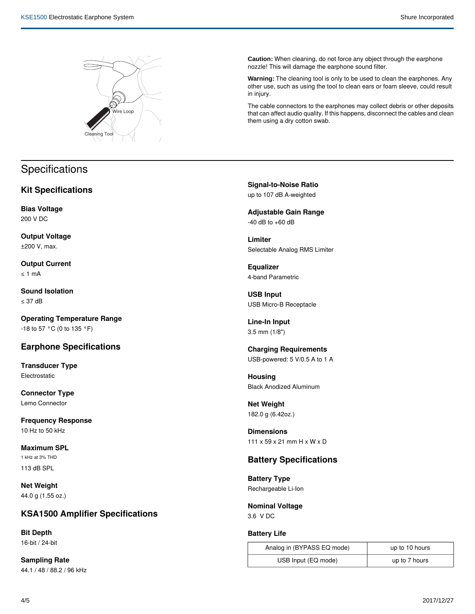

# **Specifications**

## **Kit Specifications**

**Bias Voltage** 200 V DC

**Output Voltage** ±200 V, max.

**Output Current** ≤ 1 mA

**Sound Isolation** ≤ 37 dB

**Operating Temperature Range** -18 to 57 °C (0 to 135 °F)

## **Earphone Specifications**

**Transducer Type** Electrostatic

**Connector Type** Lemo Connector

**Frequency Response** 10 Hz to 50 kHz

**Maximum SPL** 1 kHz at 3% THD 113 dB SPL

**Net Weight** 44.0 g (1.55 oz.)

## **KSA1500 Amplifier Specifications**

**Bit Depth** 16-bit / 24-bit

**Sampling Rate** 44.1 / 48 / 88.2 / 96 kHz **Caution:** When cleaning, do not force any object through the earphone nozzle! This will damage the earphone sound filter.

**Warning:** The cleaning tool is only to be used to clean the earphones. Any other use, such as using the tool to clean ears or foam sleeve, could result in injury.

The cable connectors to the earphones may collect debris or other deposits that can affect audio quality. If this happens, disconnect the cables and clean them using a dry cotton swab.

**Signal-to-Noise Ratio** up to 107 dB A-weighted

**Adjustable Gain Range**  $-40$  dB to  $+60$  dB

**Limiter** Selectable Analog RMS Limiter

**Equalizer** 4-band Parametric

**USB Input** USB Micro-B Receptacle

**Line-In Input** 3.5 mm (1/8")

**Charging Requirements** USB-powered: 5 V/0.5 A to 1 A

**Housing** Black Anodized Aluminum

**Net Weight** 182.0 g (6.42oz.)

**Dimensions** 111 x 59 x 21 mm H x W x D

## **Battery Specifications**

**Battery Type** Rechargeable Li-Ion

**Nominal Voltage** 3.6 V DC

## **Battery Life**

| Analog in (BYPASS EQ mode) | up to 10 hours |
|----------------------------|----------------|
| USB Input (EQ mode)        | up to 7 hours  |